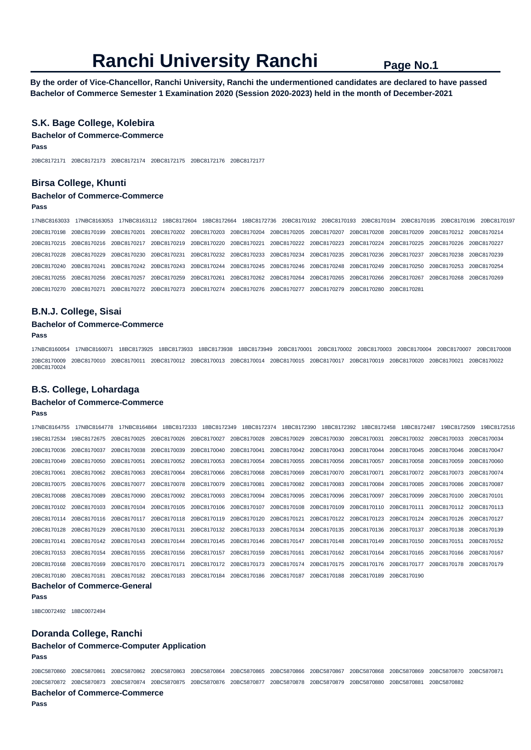**By the order of Vice-Chancellor, Ranchi University, Ranchi the undermentioned candidates are declared to have passed Bachelor of Commerce Semester 1 Examination 2020 (Session 2020-2023) held in the month of December-2021** 

## **S.K. Bage College, Kolebira**

## **Bachelor of Commerce-Commerce Pass**

20BC8172171 20BC8172173 20BC8172174 20BC8172175 20BC8172176 20BC8172177

## **Birsa College, Khunti**

## **Bachelor of Commerce-Commerce**

**Pass** 

17NBC8163033 17NBC8163053 17NBC8163112 18BC8172604 18BC8172664 18BC8172736 20BC8170192 20BC8170193 20BC8170194 20BC8170195 20BC8170196 20BC8170197 20BC8170198 20BC8170199 20BC8170201 20BC8170202 20BC8170203 20BC8170204 20BC8170205 20BC8170207 20BC8170208 20BC8170209 20BC8170212 20BC8170214 20BC8170215 20BC8170216 20BC8170217 20BC8170219 20BC8170220 20BC8170221 20BC8170222 20BC8170223 20BC8170224 20BC8170225 20BC8170226 20BC8170227 20BC8170228 20BC8170229 20BC8170230 20BC8170231 20BC8170232 20BC8170233 20BC8170234 20BC8170235 20BC8170236 20BC8170237 20BC8170238 20BC8170239 20BC8170240 20BC8170241 20BC8170242 20BC8170243 20BC8170244 20BC8170245 20BC8170246 20BC8170248 20BC8170249 20BC8170250 20BC8170253 20BC8170254 20BC8170255 20BC8170256 20BC8170257 20BC8170259 20BC8170261 20BC8170262 20BC8170264 20BC8170265 20BC8170266 20BC8170267 20BC8170268 20BC8170269 20BC8170270 20BC8170271 20BC8170272 20BC8170273 20BC8170274 20BC8170276 20BC8170277 20BC8170279 20BC8170280 20BC8170281

### **B.N.J. College, Sisai**

#### **Bachelor of Commerce-Commerce**

**Pass** 

17NBC8160054 17NBC8160071 18BC8173925 18BC8173933 18BC8173938 18BC8173949 20BC8170001 20BC8170002 20BC8170003 20BC8170004 20BC8170007 20BC8170008 20BC8170009 20BC8170010 20BC8170011 20BC8170012 20BC8170013 20BC8170014 20BC8170015 20BC8170017 20BC8170019 20BC8170020 20BC8170021 20BC8170022 20BC8170024

### **B.S. College, Lohardaga**

#### **Bachelor of Commerce-Commerce**

**Pass** 

|  |  | 17NBC8164864 18BC8172333 18BC8172349 18BC8172374 18BC8172390 18BC8172392 18BC8172458 18BC8172487 19BC8172509                                                |  |  |  | 19BC8172516 |  |
|--|--|-------------------------------------------------------------------------------------------------------------------------------------------------------------|--|--|--|-------------|--|
|  |  | 19BC8172534 19BC8172675 20BC8170025 20BC8170026 20BC8170027 20BC8170028 20BC8170029 20BC8170030 20BC8170031 20BC8170032 20BC8170033 20BC8170034             |  |  |  |             |  |
|  |  | 20BC8170036 20BC8170037 20BC8170038 20BC8170039 20BC8170040 20BC8170041 20BC8170042 20BC8170043 20BC8170044 20BC8170045 20BC8170046 20BC8170046 20BC8170046 |  |  |  |             |  |
|  |  | 20BC8170049 20BC8170050 20BC8170051 20BC8170052 20BC8170053 20BC8170054 20BC8170055 20BC8170056 20BC8170057 20BC8170058 20BC8170059 20BC8170059 20BC8170050 |  |  |  |             |  |
|  |  | 20BC8170061 20BC8170062 20BC8170063 20BC8170064 20BC8170066 20BC8170068 20BC8170069 20BC8170070 20BC8170071 20BC8170072 20BC8170073 20BC8170074             |  |  |  |             |  |
|  |  | 20BC8170075 20BC8170076 20BC8170077 20BC8170078 20BC8170079 20BC8170081 20BC8170082 20BC8170083 20BC8170084 20BC8170085 20BC8170086 20BC8170086 20BC8170087 |  |  |  |             |  |
|  |  | 20BC8170088 20BC8170089 20BC8170090 20BC8170092 20BC8170093 20BC8170094 20BC8170095 20BC8170096 20BC8170097 20BC8170099 20BC8170100 20BC8170101             |  |  |  |             |  |
|  |  | 20BC8170102 20BC8170103 20BC8170104 20BC8170105 20BC8170106 20BC8170107 20BC8170108 20BC8170109 20BC8170110 20BC8170111 20BC8170112 20BC8170113             |  |  |  |             |  |
|  |  | 20BC8170114 20BC8170116 20BC8170117 20BC8170118 20BC8170119 20BC8170120 20BC8170121 20BC8170122 20BC8170123 20BC8170124 20BC8170126 20BC8170127             |  |  |  |             |  |
|  |  | 20BC8170128 20BC8170129 20BC8170130 20BC8170131 20BC8170132 20BC8170133 20BC8170134 20BC8170135 20BC8170136 20BC8170137 20BC8170138 20BC8170139             |  |  |  |             |  |
|  |  | 20BC8170141 20BC8170142 20BC8170143 20BC8170144 20BC8170145 20BC8170146 20BC8170147 20BC8170148 20BC8170149 20BC8170150 20BC8170151 20BC8170152             |  |  |  |             |  |
|  |  | 20BC8170153 20BC8170154 20BC8170155 20BC8170156 20BC8170157 20BC8170159 20BC8170161 20BC8170162 20BC8170164 20BC8170165 20BC8170166 20BC8170166 20BC8170166 |  |  |  |             |  |
|  |  | 20BC8170168 20BC8170169 20BC8170170 20BC8170171 20BC8170172 20BC8170173 20BC8170174 20BC8170175 20BC8170176 20BC8170177 20BC8170178 20BC8170178 20BC8170179 |  |  |  |             |  |
|  |  | 20BC8170180 20BC8170181 20BC8170182 20BC8170183 20BC8170184 20BC8170186 20BC8170187 20BC8170188 20BC8170189 20BC8170190                                     |  |  |  |             |  |
|  |  |                                                                                                                                                             |  |  |  |             |  |

#### **Bachelor of Commerce-General**

**Pass** 

18BC0072492 18BC0072494

## **Doranda College, Ranchi**

#### **Bachelor of Commerce-Computer Application Pass**

20BC5870860 20BC5870861 20BC5870862 20BC5870863 20BC5870864 20BC5870865 20BC5870866 20BC5870867 20BC5870868 20BC5870869 20BC5870870 20BC5870871 20BC5870872 20BC5870873 20BC5870874 20BC5870875 20BC5870876 20BC5870877 20BC5870878 20BC5870879 20BC5870880 20BC5870881 20BC5870882 **Bachelor of Commerce-Commerce**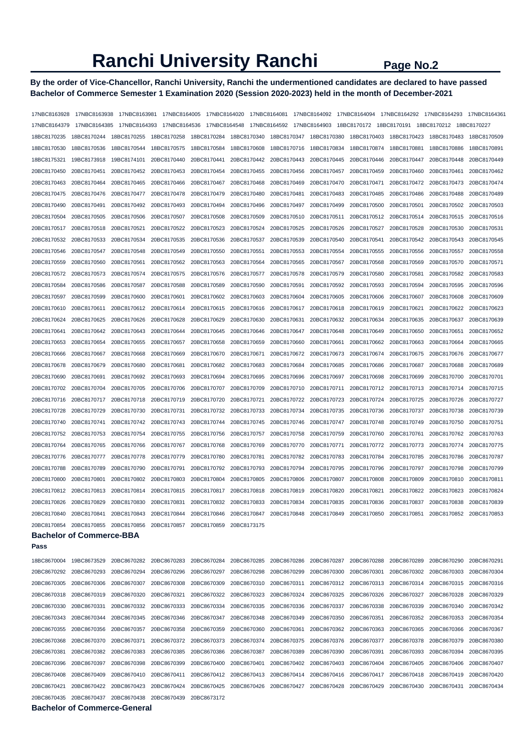## **By the order of Vice-Chancellor, Ranchi University, Ranchi the undermentioned candidates are declared to have passed Bachelor of Commerce Semester 1 Examination 2020 (Session 2020-2023) held in the month of December-2021**

| 17NBC8163928 | 17NBC8163938                    | 17NBC8163981 | 17NBC8164005 | 17NBC8164020               |                         | 17NBC8164081               |             | 17NBC8164092 17NBC8164094  | 17NBC8164292                                                                   | 17NBC8164293 | 17NBC8164361 |
|--------------|---------------------------------|--------------|--------------|----------------------------|-------------------------|----------------------------|-------------|----------------------------|--------------------------------------------------------------------------------|--------------|--------------|
| 17NBC8164379 | 17NBC8164385                    | 17NBC8164393 | 17NBC8164536 | 17NBC8164548               |                         |                            |             |                            | 17NBC8164592  17NBC8164903  18BC8170172  18BC8170191  18BC8170212  18BC8170227 |              |              |
| 18BC8170235  | 18BC8170244                     | 18BC8170255  | 18BC8170258  | 18BC8170284                | 18BC8170340             | 18BC8170347                | 18BC8170380 | 18BC8170403                | 18BC8170423                                                                    | 18BC8170483  | 18BC8170509  |
| 18BC8170530  | 18BC8170536                     | 18BC8170544  | 18BC8170575  | 18BC8170584                | 18BC8170608             | 18BC8170716                | 18BC8170834 | 18BC8170874                | 18BC8170881                                                                    | 18BC8170886  | 18BC8170891  |
| 18BC8175321  | 19BC8173918                     | 19BC8174101  | 20BC8170440  | 20BC8170441                | 20BC8170442             | 20BC8170443                | 20BC8170445 | 20BC8170446                | 20BC8170447                                                                    | 20BC8170448  | 20BC8170449  |
| 20BC8170450  | 20BC8170451                     | 20BC8170452  | 20BC8170453  | 20BC8170454                | 20BC8170455             | 20BC8170456                | 20BC8170457 | 20BC8170459                | 20BC8170460                                                                    | 20BC8170461  | 20BC8170462  |
| 20BC8170463  | 20BC8170464                     | 20BC8170465  | 20BC8170466  | 20BC8170467                | 20BC8170468             | 20BC8170469                | 20BC8170470 | 20BC8170471                | 20BC8170472                                                                    | 20BC8170473  | 20BC8170474  |
| 20BC8170475  | 20BC8170476                     | 20BC8170477  | 20BC8170478  | 20BC8170479                | 20BC8170480             | 20BC8170481                | 20BC8170483 | 20BC8170485                | 20BC8170486                                                                    | 20BC8170488  | 20BC8170489  |
| 20BC8170490  | 20BC8170491                     | 20BC8170492  | 20BC8170493  | 20BC8170494                | 20BC8170496             | 20BC8170497                | 20BC8170499 | 20BC8170500                | 20BC8170501                                                                    | 20BC8170502  | 20BC8170503  |
| 20BC8170504  | 20BC8170505                     | 20BC8170506  | 20BC8170507  | 20BC8170508                | 20BC8170509             | 20BC8170510                | 20BC8170511 | 20BC8170512                | 20BC8170514                                                                    | 20BC8170515  | 20BC8170516  |
| 20BC8170517  | 20BC8170518                     | 20BC8170521  | 20BC8170522  | 20BC8170523                | 20BC8170524             | 20BC8170525                | 20BC8170526 | 20BC8170527                | 20BC8170528                                                                    | 20BC8170530  | 20BC8170531  |
| 20BC8170532  | 20BC8170533                     | 20BC8170534  | 20BC8170535  | 20BC8170536                | 20BC8170537             | 20BC8170539                | 20BC8170540 | 20BC8170541                | 20BC8170542                                                                    | 20BC8170543  | 20BC8170545  |
| 20BC8170546  | 20BC8170547                     | 20BC8170548  | 20BC8170549  | 20BC8170550                | 20BC8170551             | 20BC8170553                | 20BC8170554 | 20BC8170555                | 20BC8170556                                                                    | 20BC8170557  | 20BC8170558  |
| 20BC8170559  | 20BC8170560                     | 20BC8170561  | 20BC8170562  | 20BC8170563                | 20BC8170564             | 20BC8170565                | 20BC8170567 | 20BC8170568                | 20BC8170569                                                                    | 20BC8170570  | 20BC8170571  |
| 20BC8170572  | 20BC8170573                     | 20BC8170574  | 20BC8170575  | 20BC8170576                | 20BC8170577             | 20BC8170578                | 20BC8170579 | 20BC8170580                | 20BC8170581                                                                    | 20BC8170582  | 20BC8170583  |
| 20BC8170584  | 20BC8170586                     | 20BC8170587  | 20BC8170588  | 20BC8170589                | 20BC8170590             | 20BC8170591                | 20BC8170592 | 20BC8170593                | 20BC8170594                                                                    | 20BC8170595  | 20BC8170596  |
| 20BC8170597  | 20BC8170599                     | 20BC8170600  | 20BC8170601  | 20BC8170602                | 20BC8170603             | 20BC8170604                | 20BC8170605 | 20BC8170606                | 20BC8170607                                                                    | 20BC8170608  | 20BC8170609  |
| 20BC8170610  | 20BC8170611                     | 20BC8170612  | 20BC8170614  | 20BC8170615                | 20BC8170616             | 20BC8170617                | 20BC8170618 | 20BC8170619                | 20BC8170621                                                                    | 20BC8170622  | 20BC8170623  |
| 20BC8170624  | 20BC8170625                     | 20BC8170626  | 20BC8170628  | 20BC8170629                | 20BC8170630             | 20BC8170631                | 20BC8170632 | 20BC8170634                | 20BC8170635                                                                    | 20BC8170637  | 20BC8170639  |
| 20BC8170641  | 20BC8170642                     | 20BC8170643  | 20BC8170644  | 20BC8170645                | 20BC8170646             | 20BC8170647                | 20BC8170648 | 20BC8170649                | 20BC8170650                                                                    | 20BC8170651  | 20BC8170652  |
| 20BC8170653  | 20BC8170654                     | 20BC8170655  | 20BC8170657  | 20BC8170658                | 20BC8170659             | 20BC8170660                | 20BC8170661 | 20BC8170662                | 20BC8170663                                                                    | 20BC8170664  | 20BC8170665  |
| 20BC8170666  | 20BC8170667                     | 20BC8170668  | 20BC8170669  | 20BC8170670                | 20BC8170671             | 20BC8170672                | 20BC8170673 | 20BC8170674                | 20BC8170675                                                                    | 20BC8170676  | 20BC8170677  |
| 20BC8170678  | 20BC8170679                     | 20BC8170680  | 20BC8170681  | 20BC8170682                | 20BC8170683             | 20BC8170684                | 20BC8170685 | 20BC8170686                | 20BC8170687                                                                    | 20BC8170688  | 20BC8170689  |
| 20BC8170690  | 20BC8170691                     | 20BC8170692  | 20BC8170693  | 20BC8170694                | 20BC8170695             | 20BC8170696                | 20BC8170697 | 20BC8170698                | 20BC8170699                                                                    | 20BC8170700  | 20BC8170701  |
| 20BC8170702  | 20BC8170704                     | 20BC8170705  | 20BC8170706  | 20BC8170707                | 20BC8170709             | 20BC8170710                | 20BC8170711 | 20BC8170712                | 20BC8170713                                                                    | 20BC8170714  | 20BC8170715  |
| 20BC8170716  | 20BC8170717                     | 20BC8170718  | 20BC8170719  | 20BC8170720                | 20BC8170721             | 20BC8170722                | 20BC8170723 | 20BC8170724                | 20BC8170725                                                                    | 20BC8170726  | 20BC8170727  |
|              |                                 |              |              |                            |                         |                            |             |                            |                                                                                |              |              |
| 20BC8170728  | 20BC8170729                     | 20BC8170730  | 20BC8170731  | 20BC8170732                | 20BC8170733             | 20BC8170734                | 20BC8170735 | 20BC8170736                | 20BC8170737                                                                    | 20BC8170738  | 20BC8170739  |
| 20BC8170740  | 20BC8170741                     | 20BC8170742  | 20BC8170743  | 20BC8170744                | 20BC8170745             | 20BC8170746                | 20BC8170747 | 20BC8170748                | 20BC8170749                                                                    | 20BC8170750  | 20BC8170751  |
| 20BC8170752  | 20BC8170753                     | 20BC8170754  | 20BC8170755  | 20BC8170756                | 20BC8170757             | 20BC8170758                | 20BC8170759 | 20BC8170760                | 20BC8170761                                                                    | 20BC8170762  | 20BC8170763  |
| 20BC8170764  | 20BC8170765<br>20BC8170777      | 20BC8170766  | 20BC8170767  | 20BC8170768<br>20BC8170780 | 20BC8170769             | 20BC8170770<br>20BC8170782 | 20BC8170771 | 20BC8170772<br>20BC8170784 | 20BC8170773<br>20BC8170785                                                     | 20BC8170774  | 20BC8170775  |
| 20BC8170776  |                                 | 20BC8170778  | 20BC8170779  |                            | 20BC8170781             |                            | 20BC8170783 |                            |                                                                                | 20BC8170786  | 20BC8170787  |
| 20BC8170788  | 20BC8170789                     | 20BC8170790  | 20BC8170791  | 20BC8170792                | 20BC8170793             | 20BC8170794                | 20BC8170795 | 20BC8170796                | 20BC8170797                                                                    | 20BC8170798  | 20BC8170799  |
| 20BC8170800  | 20BC8170801                     | 20BC8170802  | 20BC8170803  | 20BC8170804                | 20BC8170805             | 20BC8170806                | 20BC8170807 | 20BC8170808                | 20BC8170809                                                                    | 20BC8170810  | 20BC8170811  |
| 20BC8170812  | 20BC8170813                     | 20BC8170814  | 20BC8170815  | 20BC8170817                | 20BC8170818             | 20BC8170819                | 20BC8170820 | 20BC8170821                | 20BC8170822                                                                    | 20BC8170823  | 20BC8170824  |
| 20BC8170826  | 20BC8170829                     | 20BC8170830  | 20BC8170831  | 20BC8170832                | 20BC8170833             | 20BC8170834                | 20BC8170835 | 20BC8170836                | 20BC8170837                                                                    | 20BC8170838  | 20BC8170839  |
| 20BC8170840  | 20BC8170841                     | 20BC8170843  | 20BC8170844  | 20BC8170846                | 20BC8170847 20BC8170848 |                            |             | 20BC8170849 20BC8170850    | 20BC8170851                                                                    | 20BC8170852  | 20BC8170853  |
| 20BC8170854  | 20BC8170855 20BC8170856         |              | 20BC8170857  | 20BC8170859                | 20BC8173175             |                            |             |                            |                                                                                |              |              |
| Pass         | <b>Bachelor of Commerce-BBA</b> |              |              |                            |                         |                            |             |                            |                                                                                |              |              |
|              |                                 |              |              |                            |                         |                            |             |                            |                                                                                |              |              |
| 18BC8670004  | 19BC8673529                     | 20BC8670282  | 20BC8670283  | 20BC8670284                | 20BC8670285             | 20BC8670286                | 20BC8670287 | 20BC8670288                | 20BC8670289                                                                    | 20BC8670290  | 20BC8670291  |
| 20BC8670292  | 20BC8670293                     | 20BC8670294  | 20BC8670296  | 20BC8670297                | 20BC8670298             | 20BC8670299                | 20BC8670300 | 20BC8670301                | 20BC8670302                                                                    | 20BC8670303  | 20BC8670304  |
| 20BC8670305  | 20BC8670306                     | 20BC8670307  | 20BC8670308  | 20BC8670309                | 20BC8670310             | 20BC8670311                |             | 20BC8670312 20BC8670313    | 20BC8670314                                                                    | 20BC8670315  | 20BC8670316  |
| 20BC8670318  | 20BC8670319                     | 20BC8670320  | 20BC8670321  | 20BC8670322                | 20BC8670323             | 20BC8670324                | 20BC8670325 | 20BC8670326                | 20BC8670327                                                                    | 20BC8670328  | 20BC8670329  |
| 20BC8670330  | 20BC8670331                     | 20BC8670332  | 20BC8670333  | 20BC8670334                | 20BC8670335             | 20BC8670336                | 20BC8670337 | 20BC8670338                | 20BC8670339                                                                    | 20BC8670340  | 20BC8670342  |
| 20BC8670343  | 20BC8670344                     | 20BC8670345  | 20BC8670346  | 20BC8670347                | 20BC8670348             | 20BC8670349                | 20BC8670350 | 20BC8670351                | 20BC8670352                                                                    | 20BC8670353  | 20BC8670354  |
| 20BC8670355  | 20BC8670356                     | 20BC8670357  | 20BC8670358  | 20BC8670359                | 20BC8670360             | 20BC8670361                |             | 20BC8670362 20BC8670363    | 20BC8670365                                                                    | 20BC8670366  | 20BC8670367  |
| 20BC8670368  | 20BC8670370                     | 20BC8670371  | 20BC8670372  | 20BC8670373                | 20BC8670374             | 20BC8670375                | 20BC8670376 | 20BC8670377                | 20BC8670378                                                                    | 20BC8670379  | 20BC8670380  |
| 20BC8670381  | 20BC8670382                     | 20BC8670383  | 20BC8670385  | 20BC8670386                | 20BC8670387             | 20BC8670389                | 20BC8670390 | 20BC8670391                | 20BC8670393                                                                    | 20BC8670394  | 20BC8670395  |
| 20BC8670396  | 20BC8670397                     | 20BC8670398  | 20BC8670399  | 20BC8670400                | 20BC8670401             | 20BC8670402                | 20BC8670403 | 20BC8670404                | 20BC8670405                                                                    | 20BC8670406  | 20BC8670407  |
| 20BC8670408  | 20BC8670409                     | 20BC8670410  | 20BC8670411  | 20BC8670412                | 20BC8670413             | 20BC8670414                | 20BC8670416 | 20BC8670417                | 20BC8670418                                                                    | 20BC8670419  | 20BC8670420  |
| 20BC8670421  | 20BC8670422                     | 20BC8670423  | 20BC8670424  | 20BC8670425                | 20BC8670426             | 20BC8670427                | 20BC8670428 | 20BC8670429                | 20BC8670430                                                                    | 20BC8670431  | 20BC8670434  |
| 20BC8670435  | 20BC8670437                     | 20BC8670438  | 20BC8670439  | 20BC8673172                |                         |                            |             |                            |                                                                                |              |              |

**Bachelor of Commerce-General**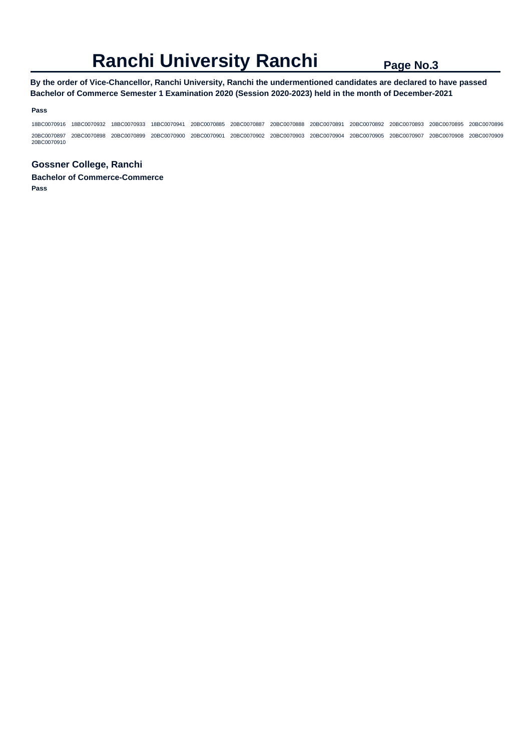## **By the order of Vice-Chancellor, Ranchi University, Ranchi the undermentioned candidates are declared to have passed Bachelor of Commerce Semester 1 Examination 2020 (Session 2020-2023) held in the month of December-2021**

#### **Pass**

18BC0070916 18BC0070932 18BC0070933 18BC0070941 20BC0070885 20BC0070887 20BC0070888 20BC0070891 20BC0070892 20BC0070893 20BC0070895 20BC0070896 20BC0070897 20BC0070898 20BC0070899 20BC0070900 20BC0070901 20BC0070902 20BC0070903 20BC0070904 20BC0070905 20BC0070907 20BC0070908 20BC0070909 20BC0070910

## **Gossner College, Ranchi**

**Bachelor of Commerce-Commerce Pass**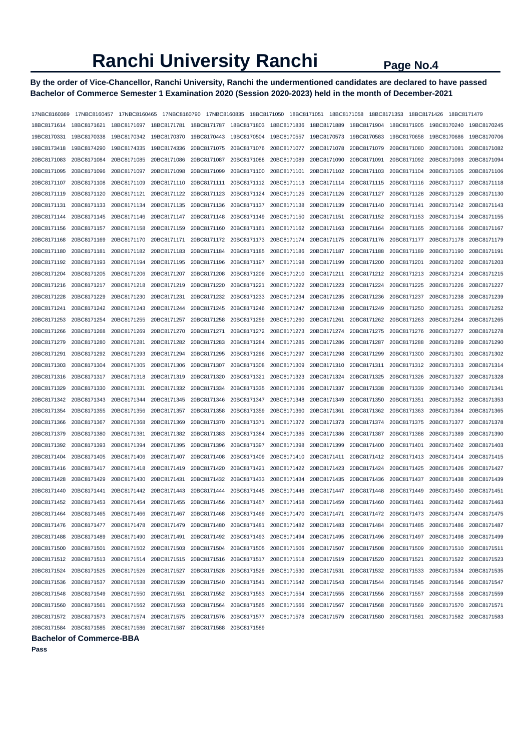## **By the order of Vice-Chancellor, Ranchi University, Ranchi the undermentioned candidates are declared to have passed Bachelor of Commerce Semester 1 Examination 2020 (Session 2020-2023) held in the month of December-2021**

| 17NBC8160369            | 17NBC8160457 | 17NBC8160465            | 17NBC8160790                                                                                                                                                | 17NBC8160835            | 18BC8171050 | 18BC8171051             | 18BC8171058                                     | 18BC8171353                         | 18BC8171426 | 18BC8171479             |             |
|-------------------------|--------------|-------------------------|-------------------------------------------------------------------------------------------------------------------------------------------------------------|-------------------------|-------------|-------------------------|-------------------------------------------------|-------------------------------------|-------------|-------------------------|-------------|
| 18BC8171614             | 18BC8171621  | 18BC8171697 18BC8171781 |                                                                                                                                                             | 18BC8171787 18BC8171803 |             | 18BC8171836             | 18BC8171889                                     | 18BC8171904                         | 18BC8171905 | 19BC8170240             | 19BC8170245 |
| 19BC8170331             | 19BC8170338  | 19BC8170342             | 19BC8170370                                                                                                                                                 | 19BC8170443             | 19BC8170504 | 19BC8170557             | 19BC8170573                                     | 19BC8170583                         | 19BC8170658 | 19BC8170686             | 19BC8170706 |
| 19BC8173418             | 19BC8174290  | 19BC8174335             | 19BC8174336                                                                                                                                                 | 20BC8171075             | 20BC8171076 | 20BC8171077             | 20BC8171078                                     | 20BC8171079                         | 20BC8171080 | 20BC8171081             | 20BC8171082 |
| 20BC8171083             | 20BC8171084  | 20BC8171085             | 20BC8171086                                                                                                                                                 | 20BC8171087             | 20BC8171088 | 20BC8171089             | 20BC8171090                                     | 20BC8171091                         | 20BC8171092 | 20BC8171093             | 20BC8171094 |
| 20BC8171095             | 20BC8171096  | 20BC8171097             | 20BC8171098                                                                                                                                                 | 20BC8171099             | 20BC8171100 | 20BC8171101             | 20BC8171102                                     | 20BC8171103                         | 20BC8171104 | 20BC8171105             | 20BC8171106 |
| 20BC8171107             | 20BC8171108  | 20BC8171109             | 20BC8171110                                                                                                                                                 | 20BC8171111             | 20BC8171112 | 20BC8171113             | 20BC8171114                                     | 20BC8171115                         | 20BC8171116 | 20BC8171117             | 20BC8171118 |
| 20BC8171119             | 20BC8171120  | 20BC8171121             | 20BC8171122                                                                                                                                                 | 20BC8171123             | 20BC8171124 | 20BC8171125             | 20BC8171126                                     | 20BC8171127                         | 20BC8171128 | 20BC8171129             | 20BC8171130 |
| 20BC8171131             | 20BC8171133  | 20BC8171134             | 20BC8171135                                                                                                                                                 | 20BC8171136             | 20BC8171137 | 20BC8171138             | 20BC8171139                                     | 20BC8171140                         | 20BC8171141 | 20BC8171142             | 20BC8171143 |
| 20BC8171144             | 20BC8171145  | 20BC8171146             | 20BC8171147                                                                                                                                                 | 20BC8171148             | 20BC8171149 | 20BC8171150             | 20BC8171151                                     | 20BC8171152                         | 20BC8171153 | 20BC8171154             | 20BC8171155 |
| 20BC8171156             | 20BC8171157  | 20BC8171158             | 20BC8171159                                                                                                                                                 | 20BC8171160             | 20BC8171161 | 20BC8171162             | 20BC8171163                                     | 20BC8171164                         | 20BC8171165 | 20BC8171166             | 20BC8171167 |
| 20BC8171168             | 20BC8171169  | 20BC8171170             | 20BC8171171                                                                                                                                                 | 20BC8171172             | 20BC8171173 | 20BC8171174             | 20BC8171175                                     | 20BC8171176                         | 20BC8171177 | 20BC8171178             | 20BC8171179 |
| 20BC8171180             | 20BC8171181  | 20BC8171182             | 20BC8171183                                                                                                                                                 | 20BC8171184             | 20BC8171185 | 20BC8171186             | 20BC8171187                                     | 20BC8171188                         | 20BC8171189 | 20BC8171190             | 20BC8171191 |
| 20BC8171192             | 20BC8171193  | 20BC8171194             | 20BC8171195                                                                                                                                                 | 20BC8171196             | 20BC8171197 | 20BC8171198             | 20BC8171199                                     | 20BC8171200                         | 20BC8171201 | 20BC8171202             | 20BC8171203 |
| 20BC8171204             | 20BC8171205  | 20BC8171206             | 20BC8171207                                                                                                                                                 | 20BC8171208             | 20BC8171209 | 20BC8171210             | 20BC8171211                                     | 20BC8171212                         | 20BC8171213 | 20BC8171214             | 20BC8171215 |
| 20BC8171216             | 20BC8171217  | 20BC8171218             | 20BC8171219                                                                                                                                                 | 20BC8171220             | 20BC8171221 | 20BC8171222             | 20BC8171223                                     | 20BC8171224                         | 20BC8171225 | 20BC8171226             | 20BC8171227 |
| 20BC8171228             | 20BC8171229  | 20BC8171230             | 20BC8171231                                                                                                                                                 | 20BC8171232             | 20BC8171233 | 20BC8171234             | 20BC8171235                                     | 20BC8171236                         | 20BC8171237 | 20BC8171238             | 20BC8171239 |
| 20BC8171241             | 20BC8171242  | 20BC8171243             | 20BC8171244                                                                                                                                                 | 20BC8171245             | 20BC8171246 | 20BC8171247             | 20BC8171248                                     | 20BC8171249                         | 20BC8171250 | 20BC8171251             | 20BC8171252 |
| 20BC8171253             | 20BC8171254  | 20BC8171255             | 20BC8171257                                                                                                                                                 | 20BC8171258             | 20BC8171259 | 20BC8171260             | 20BC8171261                                     | 20BC8171262                         | 20BC8171263 | 20BC8171264             | 20BC8171265 |
| 20BC8171266             | 20BC8171268  | 20BC8171269             | 20BC8171270                                                                                                                                                 | 20BC8171271             | 20BC8171272 | 20BC8171273             | 20BC8171274                                     | 20BC8171275                         | 20BC8171276 | 20BC8171277             | 20BC8171278 |
| 20BC8171279             | 20BC8171280  | 20BC8171281             | 20BC8171282                                                                                                                                                 | 20BC8171283             | 20BC8171284 | 20BC8171285             | 20BC8171286                                     | 20BC8171287                         | 20BC8171288 | 20BC8171289             | 20BC8171290 |
| 20BC8171291             | 20BC8171292  | 20BC8171293             | 20BC8171294                                                                                                                                                 | 20BC8171295             | 20BC8171296 | 20BC8171297             | 20BC8171298                                     | 20BC8171299                         | 20BC8171300 | 20BC8171301             | 20BC8171302 |
| 20BC8171303             | 20BC8171304  | 20BC8171305             | 20BC8171306                                                                                                                                                 | 20BC8171307             | 20BC8171308 | 20BC8171309             | 20BC8171310                                     | 20BC8171311                         | 20BC8171312 | 20BC8171313             | 20BC8171314 |
| 20BC8171316             | 20BC8171317  | 20BC8171318             | 20BC8171319                                                                                                                                                 | 20BC8171320             | 20BC8171321 | 20BC8171323             | 20BC8171324                                     | 20BC8171325                         | 20BC8171326 | 20BC8171327             | 20BC8171328 |
| 20BC8171329             | 20BC8171330  | 20BC8171331             | 20BC8171332                                                                                                                                                 | 20BC8171334             | 20BC8171335 | 20BC8171336             | 20BC8171337                                     | 20BC8171338                         | 20BC8171339 | 20BC8171340             | 20BC8171341 |
| 20BC8171342             | 20BC8171343  | 20BC8171344             | 20BC8171345                                                                                                                                                 | 20BC8171346             | 20BC8171347 | 20BC8171348             | 20BC8171349                                     | 20BC8171350                         | 20BC8171351 | 20BC8171352             | 20BC8171353 |
| 20BC8171354             | 20BC8171355  | 20BC8171356             | 20BC8171357                                                                                                                                                 | 20BC8171358             | 20BC8171359 | 20BC8171360             | 20BC8171361                                     | 20BC8171362                         | 20BC8171363 | 20BC8171364             | 20BC8171365 |
| 20BC8171366             | 20BC8171367  | 20BC8171368             | 20BC8171369                                                                                                                                                 | 20BC8171370             | 20BC8171371 | 20BC8171372             | 20BC8171373                                     | 20BC8171374                         | 20BC8171375 | 20BC8171377             | 20BC8171378 |
| 20BC8171379             | 20BC8171380  | 20BC8171381             | 20BC8171382                                                                                                                                                 | 20BC8171383             | 20BC8171384 | 20BC8171385             | 20BC8171386                                     | 20BC8171387                         | 20BC8171388 | 20BC8171389             | 20BC8171390 |
| 20BC8171392             | 20BC8171393  | 20BC8171394             | 20BC8171395                                                                                                                                                 | 20BC8171396             | 20BC8171397 | 20BC8171398             | 20BC8171399                                     | 20BC8171400                         | 20BC8171401 | 20BC8171402             | 20BC8171403 |
| 20BC8171404             | 20BC8171405  | 20BC8171406             | 20BC8171407                                                                                                                                                 | 20BC8171408             | 20BC8171409 | 20BC8171410             | 20BC8171411                                     | 20BC8171412                         | 20BC8171413 | 20BC8171414             | 20BC8171415 |
| 20BC8171416             | 20BC8171417  | 20BC8171418             | 20BC8171419                                                                                                                                                 | 20BC8171420             | 20BC8171421 | 20BC8171422             | 20BC8171423                                     | 20BC8171424                         | 20BC8171425 | 20BC8171426             | 20BC8171427 |
| 20BC8171428             | 20BC8171429  | 20BC8171430             | 20BC8171431                                                                                                                                                 | 20BC8171432             | 20BC8171433 | 20BC8171434             | 20BC8171435                                     | 20BC8171436                         | 20BC8171437 | 20BC8171438             | 20BC8171439 |
| 20BC8171440             | 20BC8171441  | 20BC8171442             | 20BC8171443                                                                                                                                                 | 20BC8171444             | 20BC8171445 | 20BC8171446             | 20BC8171447                                     | 20BC8171448                         | 20BC8171449 | 20BC8171450             | 20BC8171451 |
| 20BC8171452             | 20BC8171453  | 20BC8171454             | 20BC8171455                                                                                                                                                 | 20BC8171456 20BC8171457 |             | 20BC8171458 20BC8171459 |                                                 | 20BC8171460                         | 20BC8171461 | 20BC8171462             | 20BC8171463 |
| 20BC8171464             |              |                         | 20BC8171465 20BC8171466 20BC8171467 20BC8171468 20BC8171469 20BC8171470 20BC8171471 20BC8171472 20BC8171473 20BC8171474                                     |                         |             |                         |                                                 |                                     |             |                         | 20BC8171475 |
| 20BC8171476             |              |                         |                                                                                                                                                             |                         |             |                         | 20BC8171482 20BC8171483 20BC8171484 20BC8171485 |                                     |             | 20BC8171486             | 20BC8171487 |
| 20BC8171488             | 20BC8171489  | 20BC8171490             |                                                                                                                                                             |                         |             |                         |                                                 | 20BC8171496 20BC8171497 20BC8171498 |             |                         | 20BC8171499 |
| 20BC8171500             | 20BC8171501  |                         | 20BC8171502 20BC8171503 20BC8171504 20BC8171505                                                                                                             |                         |             |                         | 20BC8171506 20BC8171507                         | 20BC8171508                         | 20BC8171509 | 20BC8171510 20BC8171511 |             |
|                         |              |                         | 20BC8171512 20BC8171513 20BC8171514 20BC8171515 20BC8171516 20BC8171517 20BC8171518 20BC8171519 20BC8171520 20BC8171521                                     |                         |             |                         |                                                 |                                     |             | 20BC8171522 20BC8171523 |             |
| 20BC8171524             | 20BC8171525  | 20BC8171526             | 20BC8171527 20BC8171528 20BC8171529                                                                                                                         |                         |             |                         | 20BC8171530 20BC8171531                         | 20BC8171532 20BC8171533             |             | 20BC8171534             | 20BC8171535 |
| 20BC8171536             | 20BC8171537  | 20BC8171538             | 20BC8171539                                                                                                                                                 |                         |             |                         |                                                 | 20BC8171544                         | 20BC8171545 | 20BC8171546             | 20BC8171547 |
| 20BC8171548 20BC8171549 |              |                         | 20BC8171550 20BC8171551 20BC8171552 20BC8171553 20BC8171554 20BC8171555 20BC8171556 20BC8171557 20BC8171558                                                 |                         |             |                         |                                                 |                                     |             |                         | 20BC8171559 |
|                         |              |                         | 20BC8171560 20BC8171561 20BC8171562 20BC8171563 20BC8171564 20BC8171565 20BC8171566 20BC8171567 20BC8171568 20BC8171569                                     |                         |             |                         |                                                 |                                     |             | 20BC8171570             | 20BC8171571 |
|                         |              |                         | 20BC8171572 20BC8171573 20BC8171574 20BC8171575 20BC8171576 20BC8171577 20BC8171578 20BC8171579 20BC8171580 20BC8171581 20BC8171582 20BC8171582 20BC8171583 |                         |             |                         |                                                 |                                     |             |                         |             |
|                         |              |                         |                                                                                                                                                             |                         |             |                         |                                                 |                                     |             |                         |             |
|                         |              |                         |                                                                                                                                                             |                         |             |                         |                                                 |                                     |             |                         |             |

**Bachelor of Commerce-BBA**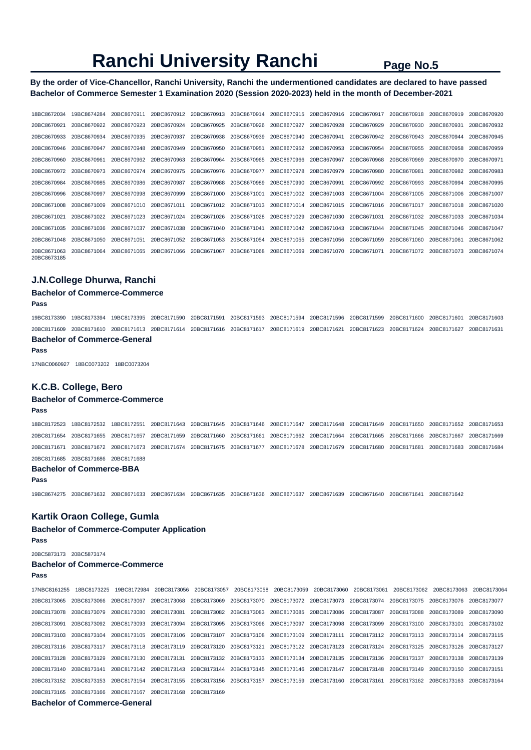**By the order of Vice-Chancellor, Ranchi University, Ranchi the undermentioned candidates are declared to have passed Bachelor of Commerce Semester 1 Examination 2020 (Session 2020-2023) held in the month of December-2021** 

| 18BC8672034                | 19BC8674284 | 20BC8670911 | 20BC8670912 | 20BC8670913 | 20BC8670914 | 20BC8670915 | 20BC8670916 | 20BC8670917 | 20BC8670918 | 20BC8670919 | 20BC8670920 |
|----------------------------|-------------|-------------|-------------|-------------|-------------|-------------|-------------|-------------|-------------|-------------|-------------|
| 20BC8670921                | 20BC8670922 | 20BC8670923 | 20BC8670924 | 20BC8670925 | 20BC8670926 | 20BC8670927 | 20BC8670928 | 20BC8670929 | 20BC8670930 | 20BC8670931 | 20BC8670932 |
| 20BC8670933                | 20BC8670934 | 20BC8670935 | 20BC8670937 | 20BC8670938 | 20BC8670939 | 20BC8670940 | 20BC8670941 | 20BC8670942 | 20BC8670943 | 20BC8670944 | 20BC8670945 |
| 20BC8670946                | 20BC8670947 | 20BC8670948 | 20BC8670949 | 20BC8670950 | 20BC8670951 | 20BC8670952 | 20BC8670953 | 20BC8670954 | 20BC8670955 | 20BC8670958 | 20BC8670959 |
| 20BC8670960                | 20BC8670961 | 20BC8670962 | 20BC8670963 | 20BC8670964 | 20BC8670965 | 20BC8670966 | 20BC8670967 | 20BC8670968 | 20BC8670969 | 20BC8670970 | 20BC8670971 |
| 20BC8670972                | 20BC8670973 | 20BC8670974 | 20BC8670975 | 20BC8670976 | 20BC8670977 | 20BC8670978 | 20BC8670979 | 20BC8670980 | 20BC8670981 | 20BC8670982 | 20BC8670983 |
| 20BC8670984                | 20BC8670985 | 20BC8670986 | 20BC8670987 | 20BC8670988 | 20BC8670989 | 20BC8670990 | 20BC8670991 | 20BC8670992 | 20BC8670993 | 20BC8670994 | 20BC8670995 |
| 20BC8670996                | 20BC8670997 | 20BC8670998 | 20BC8670999 | 20BC8671000 | 20BC8671001 | 20BC8671002 | 20BC8671003 | 20BC8671004 | 20BC8671005 | 20BC8671006 | 20BC8671007 |
| 20BC8671008                | 20BC8671009 | 20BC8671010 | 20BC8671011 | 20BC8671012 | 20BC8671013 | 20BC8671014 | 20BC8671015 | 20BC8671016 | 20BC8671017 | 20BC8671018 | 20BC8671020 |
| 20BC8671021                | 20BC8671022 | 20BC8671023 | 20BC8671024 | 20BC8671026 | 20BC8671028 | 20BC8671029 | 20BC8671030 | 20BC8671031 | 20BC8671032 | 20BC8671033 | 20BC8671034 |
| 20BC8671035                | 20BC8671036 | 20BC8671037 | 20BC8671038 | 20BC8671040 | 20BC8671041 | 20BC8671042 | 20BC8671043 | 20BC8671044 | 20BC8671045 | 20BC8671046 | 20BC8671047 |
| 20BC8671048                | 20BC8671050 | 20BC8671051 | 20BC8671052 | 20BC8671053 | 20BC8671054 | 20BC8671055 | 20BC8671056 | 20BC8671059 | 20BC8671060 | 20BC8671061 | 20BC8671062 |
| 20BC8671063<br>20BC8673185 | 20BC8671064 | 20BC8671065 | 20BC8671066 | 20BC8671067 | 20BC8671068 | 20BC8671069 | 20BC8671070 | 20BC8671071 | 20BC8671072 | 20BC8671073 | 20BC8671074 |

### **J.N.College Dhurwa, Ranchi**

#### **Bachelor of Commerce-Commerce**

**Pass** 

19BC8173390 19BC8173394 19BC8173395 20BC8171590 20BC8171591 20BC8171593 20BC8171594 20BC8171596 20BC8171599 20BC8171600 20BC8171601 20BC8171603 20BC8171609 20BC8171610 20BC8171613 20BC8171614 20BC8171616 20BC8171617 20BC8171619 20BC8171621 20BC8171623 20BC8171624 20BC8171627 20BC8171631 **Bachelor of Commerce-General** 

#### **Pass**

17NBC0060927 18BC0073202 18BC0073204

### **K.C.B. College, Bero**

## **Bachelor of Commerce-Commerce**

**Pass** 

18BC8172523 18BC8172532 18BC8172551 20BC8171643 20BC8171645 20BC8171646 20BC8171647 20BC8171648 20BC8171649 20BC8171650 20BC8171652 20BC8171653 20BC8171654 20BC8171655 20BC8171657 20BC8171659 20BC8171660 20BC8171661 20BC8171662 20BC8171664 20BC8171665 20BC8171666 20BC8171667 20BC8171669 20BC8171671 20BC8171672 20BC8171673 20BC8171674 20BC8171675 20BC8171677 20BC8171678 20BC8171679 20BC8171680 20BC8171681 20BC8171683 20BC8171684 20BC8171685 20BC8171686 20BC8171688

#### **Bachelor of Commerce-BBA**

**Pass** 

19BC8674275 20BC8671632 20BC8671633 20BC8671634 20BC8671635 20BC8671636 20BC8671637 20BC8671639 20BC8671640 20BC8671641 20BC8671642

#### **Kartik Oraon College, Gumla**

#### **Bachelor of Commerce-Computer Application**

**Pass** 

20BC5873173 20BC5873174

## **Bachelor of Commerce-Commerce**

**Pass** 

17NBC8161255 18BC8173225 19BC8172984 20BC8173056 20BC8173057 20BC8173058 20BC8173059 20BC8173060 20BC8173061 20BC8173062 20BC8173063 20BC8173064 20BC8173065 20BC8173066 20BC8173067 20BC8173068 20BC8173069 20BC8173070 20BC8173072 20BC8173073 20BC8173074 20BC8173075 20BC8173076 20BC8173077 20BC8173078 20BC8173079 20BC8173080 20BC8173081 20BC8173082 20BC8173083 20BC8173085 20BC8173086 20BC8173087 20BC8173088 20BC8173089 20BC8173090 20BC8173091 20BC8173092 20BC8173093 20BC8173094 20BC8173095 20BC8173096 20BC8173097 20BC8173098 20BC8173099 20BC8173100 20BC8173101 20BC8173102 20BC8173103 20BC8173104 20BC8173105 20BC8173106 20BC8173107 20BC8173108 20BC8173109 20BC8173111 20BC8173112 20BC8173113 20BC8173114 20BC8173115 20BC8173116 20BC8173117 20BC8173118 20BC8173119 20BC8173120 20BC8173121 20BC8173122 20BC8173123 20BC8173124 20BC8173125 20BC8173126 20BC8173127 20BC8173128 20BC8173129 20BC8173130 20BC8173131 20BC8173132 20BC8173133 20BC8173134 20BC8173135 20BC8173136 20BC8173137 20BC8173138 20BC8173139 20BC8173140 20BC8173141 20BC8173142 20BC8173143 20BC8173144 20BC8173145 20BC8173146 20BC8173147 20BC8173148 20BC8173149 20BC8173150 20BC8173151 20BC8173152 20BC8173153 20BC8173154 20BC8173155 20BC8173156 20BC8173157 20BC8173159 20BC8173160 20BC8173161 20BC8173162 20BC8173163 20BC8173164 20BC8173165 20BC8173166 20BC8173167 20BC8173168 20BC8173169

#### **Bachelor of Commerce-General**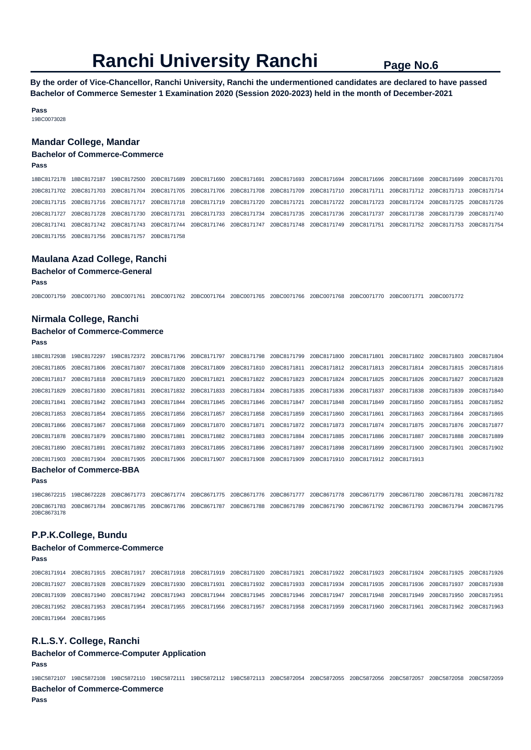**By the order of Vice-Chancellor, Ranchi University, Ranchi the undermentioned candidates are declared to have passed Bachelor of Commerce Semester 1 Examination 2020 (Session 2020-2023) held in the month of December-2021** 

**Pass**  19BC0073028

#### **Mandar College, Mandar**

#### **Bachelor of Commerce-Commerce**

**Pass** 

18BC8172178 18BC8172187 19BC8172500 20BC8171689 20BC8171690 20BC8171691 20BC8171693 20BC8171694 20BC8171696 20BC8171698 20BC8171699 20BC8171701 20BC8171702 20BC8171703 20BC8171704 20BC8171705 20BC8171706 20BC8171708 20BC8171709 20BC8171710 20BC8171711 20BC8171712 20BC8171713 20BC8171714 20BC8171715 20BC8171716 20BC8171717 20BC8171718 20BC8171719 20BC8171720 20BC8171721 20BC8171722 20BC8171723 20BC8171724 20BC8171725 20BC8171726 20BC8171727 20BC8171728 20BC8171730 20BC8171731 20BC8171733 20BC8171734 20BC8171735 20BC8171736 20BC8171737 20BC8171738 20BC8171739 20BC8171740 20BC8171741 20BC8171742 20BC8171743 20BC8171744 20BC8171746 20BC8171747 20BC8171748 20BC8171749 20BC8171751 20BC8171752 20BC8171753 20BC8171754 20BC8171755 20BC8171756 20BC8171757 20BC8171758

#### **Maulana Azad College, Ranchi**

**Bachelor of Commerce-General** 

**Pass** 

20BC0071759 20BC0071760 20BC0071761 20BC0071762 20BC0071764 20BC0071765 20BC0071766 20BC0071768 20BC0071770 20BC0071771 20BC0071772

#### **Nirmala College, Ranchi**

## **Bachelor of Commerce-Commerce**

**Pass** 

| 18BC8172938                     | 19BC8172297             |             |                                     |  | 19BC8172372 20BC8171796 20BC8171797 20BC8171798 20BC8171799 20BC8171800 20BC8171801 20BC8171802 20BC8171803 20BC8171804             |  |  |  |  |                         |             |  |
|---------------------------------|-------------------------|-------------|-------------------------------------|--|-------------------------------------------------------------------------------------------------------------------------------------|--|--|--|--|-------------------------|-------------|--|
| 20BC8171805                     | 20BC8171806             | 20BC8171807 |                                     |  | 20BC8171808 20BC8171809 20BC8171810 20BC8171811 20BC8171812 20BC8171813 20BC8171814 20BC8171815 20BC8171816                         |  |  |  |  |                         |             |  |
| 20BC8171817                     | 20BC8171818             |             |                                     |  | 20BC8171819 20BC8171820 20BC8171821 20BC8171822 20BC8171823 20BC8171824 20BC8171825 20BC8171826 20BC8171827 20BC8171828             |  |  |  |  |                         |             |  |
| 20BC8171829                     | 20BC8171830 20BC8171831 |             |                                     |  | 20BC8171832 20BC8171833 20BC8171834 20BC8171835 20BC8171836 20BC8171837 20BC8171838 20BC8171839 20BC8171840                         |  |  |  |  |                         |             |  |
| 20BC8171841                     |                         |             |                                     |  | 20BC8171842 20BC8171843 20BC8171844 20BC8171845 20BC8171846 20BC8171847 20BC8171848 20BC8171849 20BC8171850 20BC8171851 20BC8171852 |  |  |  |  |                         |             |  |
| 20BC8171853                     | 20BC8171854             |             |                                     |  | 20BC8171855 20BC8171856 20BC8171857 20BC8171858 20BC8171859 20BC8171860 20BC8171861 20BC8171863 20BC8171864                         |  |  |  |  |                         | 20BC8171865 |  |
| 20BC8171866 20BC8171867         |                         |             |                                     |  | 20BC8171868 20BC8171869 20BC8171870 20BC8171871 20BC8171872 20BC8171873 20BC8171874 20BC8171875 20BC8171876 20BC8171877             |  |  |  |  |                         |             |  |
|                                 | 20BC8171878 20BC8171879 |             |                                     |  | 20BC8171880 20BC8171881 20BC8171882 20BC8171883 20BC8171884 20BC8171885 20BC8171886 20BC8171887                                     |  |  |  |  | 20BC8171888 20BC8171889 |             |  |
| 20BC8171890                     | 20BC8171891             |             |                                     |  | 20BC8171892 20BC8171893 20BC8171895 20BC8171896 20BC8171897 20BC8171898 20BC8171899 20BC8171900 20BC8171901 20BC8171902             |  |  |  |  |                         |             |  |
| 20BC8171903                     | 20BC8171904             |             | 20BC8171905 20BC8171906 20BC8171907 |  | 20BC8171908 20BC8171909 20BC8171910 20BC8171912 20BC8171913                                                                         |  |  |  |  |                         |             |  |
| <b>Bachelor of Commerce-BBA</b> |                         |             |                                     |  |                                                                                                                                     |  |  |  |  |                         |             |  |

**Pass** 

19BC8672215 19BC8672228 20BC8671773 20BC8671774 20BC8671775 20BC8671776 20BC8671777 20BC8671778 20BC8671779 20BC8671780 20BC8671781 20BC8671782 20BC8671783 20BC8671784 20BC8671785 20BC8671786 20BC8671787 20BC8671788 20BC8671789 20BC8671790 20BC8671792 20BC8671793 20BC8671794 20BC8671795 20BC8673178

### **P.P.K.College, Bundu**

#### **Bachelor of Commerce-Commerce**

**Pass** 

20BC8171914 20BC8171915 20BC8171917 20BC8171918 20BC8171919 20BC8171920 20BC8171921 20BC8171922 20BC8171923 20BC8171924 20BC8171925 20BC8171926 20BC8171927 20BC8171928 20BC8171929 20BC8171930 20BC8171931 20BC8171932 20BC8171933 20BC8171934 20BC8171935 20BC8171936 20BC8171937 20BC8171938 20BC8171939 20BC8171940 20BC8171942 20BC8171943 20BC8171944 20BC8171945 20BC8171946 20BC8171947 20BC8171948 20BC8171949 20BC8171950 20BC8171951 20BC8171952 20BC8171953 20BC8171954 20BC8171955 20BC8171956 20BC8171957 20BC8171958 20BC8171959 20BC8171960 20BC8171961 20BC8171962 20BC8171963 20BC8171964 20BC8171965

## **R.L.S.Y. College, Ranchi**

## **Bachelor of Commerce-Computer Application**

**Pass** 

19BC5872107 19BC5872108 19BC5872110 19BC5872111 19BC5872112 19BC5872113 20BC5872054 20BC5872055 20BC5872056 20BC5872057 20BC5872058 20BC5872059 **Bachelor of Commerce-Commerce**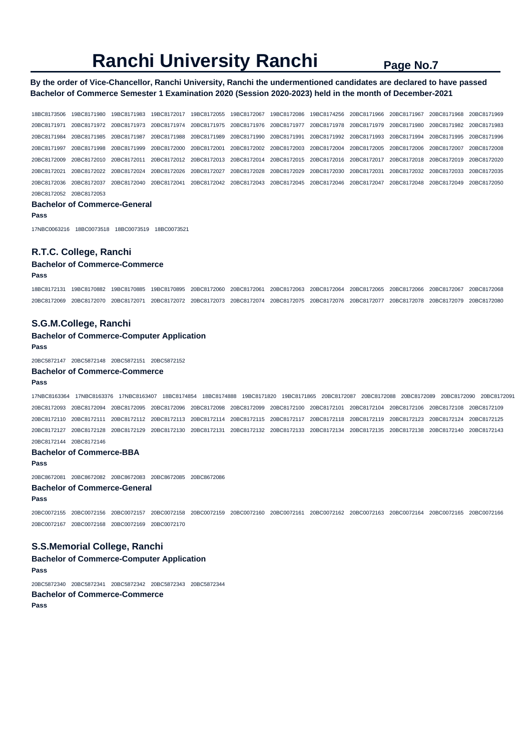## **By the order of Vice-Chancellor, Ranchi University, Ranchi the undermentioned candidates are declared to have passed Bachelor of Commerce Semester 1 Examination 2020 (Session 2020-2023) held in the month of December-2021**

18BC8173506 19BC8171980 19BC8171983 19BC8172017 19BC8172055 19BC8172067 19BC8172086 19BC8174256 20BC8171966 20BC8171967 20BC8171968 20BC8171969 20BC8171971 20BC8171972 20BC8171973 20BC8171974 20BC8171975 20BC8171976 20BC8171977 20BC8171978 20BC8171979 20BC8171980 20BC8171982 20BC8171983 20BC8171984 20BC8171985 20BC8171987 20BC8171988 20BC8171989 20BC8171990 20BC8171991 20BC8171992 20BC8171993 20BC8171994 20BC8171995 20BC8171996 20BC8171997 20BC8171998 20BC8171999 20BC8172000 20BC8172001 20BC8172002 20BC8172003 20BC8172004 20BC8172005 20BC8172006 20BC8172007 20BC8172008 20BC8172009 20BC8172010 20BC8172011 20BC8172012 20BC8172013 20BC8172014 20BC8172015 20BC8172016 20BC8172017 20BC8172018 20BC8172019 20BC8172020 20BC8172021 20BC8172022 20BC8172024 20BC8172026 20BC8172027 20BC8172028 20BC8172029 20BC8172030 20BC8172031 20BC8172032 20BC8172033 20BC8172035 20BC8172036 20BC8172037 20BC8172040 20BC8172041 20BC8172042 20BC8172043 20BC8172045 20BC8172046 20BC8172047 20BC8172048 20BC8172049 20BC8172050 20BC8172052 20BC8172053

#### **Bachelor of Commerce-General**

**Pass** 

17NBC0063216 18BC0073518 18BC0073519 18BC0073521

## **R.T.C. College, Ranchi**

#### **Bachelor of Commerce-Commerce Pass**

18BC8172131 19BC8170882 19BC8170885 19BC8170895 20BC8172060 20BC8172061 20BC8172063 20BC8172064 20BC8172065 20BC8172066 20BC8172067 20BC8172068 20BC8172069 20BC8172070 20BC8172071 20BC8172072 20BC8172073 20BC8172074 20BC8172075 20BC8172076 20BC8172077 20BC8172078 20BC8172079 20BC8172080

### **S.G.M.College, Ranchi**

## **Bachelor of Commerce-Computer Application**

**Pass** 

20BC5872147 20BC5872148 20BC5872151 20BC5872152

#### **Bachelor of Commerce-Commerce**

#### **Pass**

17NBC8163364 17NBC8163376 17NBC8163407 18BC8174854 18BC8174888 19BC8171820 19BC8171865 20BC8172087 20BC8172088 20BC8172089 20BC8172090 20BC8172091 20BC8172093 20BC8172094 20BC8172095 20BC8172096 20BC8172098 20BC8172099 20BC8172100 20BC8172101 20BC8172104 20BC8172106 20BC8172108 20BC8172109 20BC8172110 20BC8172111 20BC8172112 20BC8172113 20BC8172114 20BC8172115 20BC8172117 20BC8172118 20BC8172119 20BC8172123 20BC8172124 20BC8172125 20BC8172127 20BC8172128 20BC8172129 20BC8172130 20BC8172131 20BC8172132 20BC8172133 20BC8172134 20BC8172135 20BC8172138 20BC8172140 20BC8172143 20BC8172144 20BC8172146

#### **Bachelor of Commerce-BBA**

**Pass** 

20BC8672081 20BC8672082 20BC8672083 20BC8672085 20BC8672086

### **Bachelor of Commerce-General**

**Pass** 

20BC0072155 20BC0072156 20BC0072157 20BC0072158 20BC0072159 20BC0072160 20BC0072161 20BC0072162 20BC0072163 20BC0072164 20BC0072165 20BC0072166 20BC0072167 20BC0072168 20BC0072169 20BC0072170

## **S.S.Memorial College, Ranchi**

**Bachelor of Commerce-Computer Application Pass** 

20BC5872340 20BC5872341 20BC5872342 20BC5872343 20BC5872344 **Bachelor of Commerce-Commerce**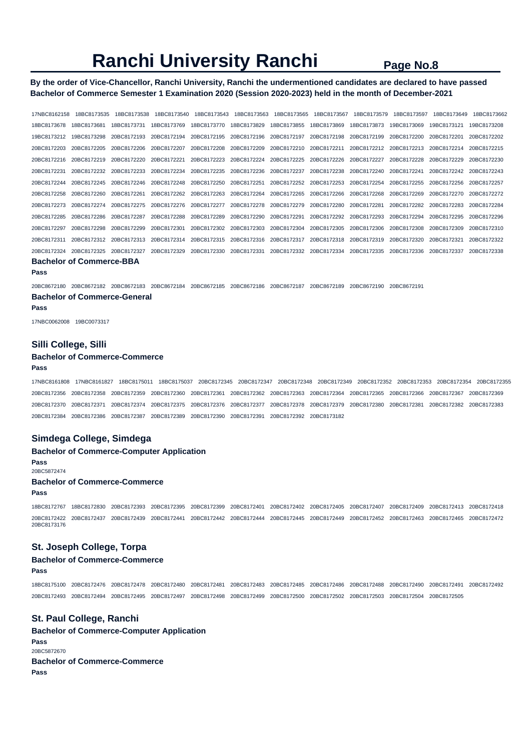## **By the order of Vice-Chancellor, Ranchi University, Ranchi the undermentioned candidates are declared to have passed Bachelor of Commerce Semester 1 Examination 2020 (Session 2020-2023) held in the month of December-2021**

17NBC8162158 18BC8173535 18BC8173538 18BC8173540 18BC8173543 18BC8173563 18BC8173565 18BC8173567 18BC8173579 18BC8173597 18BC8173649 18BC8173662 18BC8173678 18BC8173681 18BC8173731 18BC8173769 18BC8173770 18BC8173829 18BC8173855 18BC8173869 18BC8173873 19BC8173069 19BC8173121 19BC8173208 19BC8173212 19BC8173298 20BC8172193 20BC8172194 20BC8172195 20BC8172196 20BC8172197 20BC8172198 20BC8172199 20BC8172200 20BC8172201 20BC8172202 20BC8172203 20BC8172205 20BC8172206 20BC8172207 20BC8172208 20BC8172209 20BC8172210 20BC8172211 20BC8172212 20BC8172213 20BC8172214 20BC8172215 20BC8172216 20BC8172219 20BC8172220 20BC8172221 20BC8172223 20BC8172224 20BC8172225 20BC8172226 20BC8172227 20BC8172228 20BC8172229 20BC8172230 20BC8172231 20BC8172232 20BC8172233 20BC8172234 20BC8172235 20BC8172236 20BC8172237 20BC8172238 20BC8172240 20BC8172241 20BC8172242 20BC8172243 20BC8172244 20BC8172245 20BC8172246 20BC8172248 20BC8172250 20BC8172251 20BC8172252 20BC8172253 20BC8172254 20BC8172255 20BC8172256 20BC8172257 20BC8172258 20BC8172260 20BC8172261 20BC8172262 20BC8172263 20BC8172264 20BC8172265 20BC8172266 20BC8172268 20BC8172269 20BC8172270 20BC8172272 20BC8172273 20BC8172274 20BC8172275 20BC8172276 20BC8172277 20BC8172278 20BC8172279 20BC8172280 20BC8172281 20BC8172282 20BC8172283 20BC8172284 20BC8172285 20BC8172286 20BC8172287 20BC8172288 20BC8172289 20BC8172290 20BC8172291 20BC8172292 20BC8172293 20BC8172294 20BC8172295 20BC8172296 20BC8172297 20BC8172298 20BC8172299 20BC8172301 20BC8172302 20BC8172303 20BC8172304 20BC8172305 20BC8172306 20BC8172308 20BC8172309 20BC8172310 20BC8172311 20BC8172312 20BC8172313 20BC8172314 20BC8172315 20BC8172316 20BC8172317 20BC8172318 20BC8172319 20BC8172320 20BC8172321 20BC8172322 20BC8172324 20BC8172325 20BC8172327 20BC8172329 20BC8172330 20BC8172331 20BC8172332 20BC8172334 20BC8172335 20BC8172336 20BC8172337 20BC8172338

**Bachelor of Commerce-BBA** 

**Pass** 

20BC8672180 20BC8672182 20BC8672183 20BC8672184 20BC8672185 20BC8672186 20BC8672187 20BC8672189 20BC8672190 20BC8672191

### **Bachelor of Commerce-General**

**Pass** 

17NBC0062008 19BC0073317

#### **Silli College, Silli**

#### **Bachelor of Commerce-Commerce**

#### **Pass**

17NBC8161808 17NBC8161827 18BC8175011 18BC8175037 20BC8172345 20BC8172347 20BC8172348 20BC8172349 20BC8172352 20BC8172353 20BC8172354 20BC8172355 20BC8172356 20BC8172358 20BC8172359 20BC8172360 20BC8172361 20BC8172362 20BC8172363 20BC8172364 20BC8172365 20BC8172366 20BC8172367 20BC8172369 20BC8172370 20BC8172371 20BC8172374 20BC8172375 20BC8172376 20BC8172377 20BC8172378 20BC8172379 20BC8172380 20BC8172381 20BC8172382 20BC8172383 20BC8172384 20BC8172386 20BC8172387 20BC8172389 20BC8172390 20BC8172391 20BC8172392 20BC8173182

#### **Simdega College, Simdega**

**Bachelor of Commerce-Computer Application Pass**  20BC5872474

#### **Bachelor of Commerce-Commerce**

**Pass** 

18BC8172767 18BC8172830 20BC8172393 20BC8172395 20BC8172399 20BC8172401 20BC8172402 20BC8172405 20BC8172407 20BC8172409 20BC8172413 20BC8172418 20BC8172422 20BC8172437 20BC8172439 20BC8172441 20BC8172442 20BC8172444 20BC8172445 20BC8172449 20BC8172452 20BC8172463 20BC8172465 20BC8172472 20BC8173176

## **St. Joseph College, Torpa**

## **Bachelor of Commerce-Commerce**

**Pass** 

18BC8175100 20BC8172476 20BC8172478 20BC8172480 20BC8172481 20BC8172483 20BC8172485 20BC8172486 20BC8172488 20BC8172490 20BC8172491 20BC8172492 20BC8172493 20BC8172494 20BC8172495 20BC8172497 20BC8172498 20BC8172499 20BC8172500 20BC8172502 20BC8172503 20BC8172504 20BC8172505

## **St. Paul College, Ranchi**

**Bachelor of Commerce-Computer Application Pass**  20BC5872670 **Bachelor of Commerce-Commerce Pass**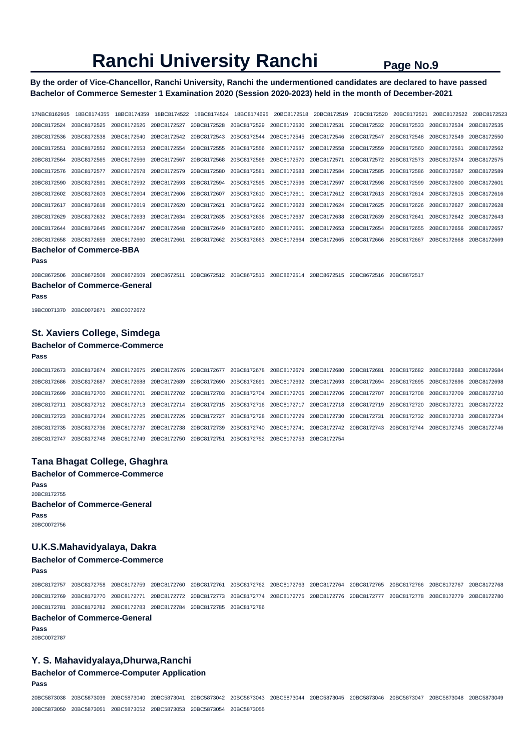**By the order of Vice-Chancellor, Ranchi University, Ranchi the undermentioned candidates are declared to have passed Bachelor of Commerce Semester 1 Examination 2020 (Session 2020-2023) held in the month of December-2021** 

17NBC8162915 18BC8174355 18BC8174359 18BC8174522 18BC8174524 18BC8174695 20BC8172518 20BC8172519 20BC8172520 20BC8172521 20BC8172522 20BC8172523 20BC8172524 20BC8172525 20BC8172526 20BC8172527 20BC8172528 20BC8172529 20BC8172530 20BC8172531 20BC8172532 20BC8172533 20BC8172534 20BC8172535 20BC8172536 20BC8172538 20BC8172540 20BC8172542 20BC8172543 20BC8172544 20BC8172545 20BC8172546 20BC8172547 20BC8172548 20BC8172549 20BC8172550 20BC8172551 20BC8172552 20BC8172553 20BC8172554 20BC8172555 20BC8172556 20BC8172557 20BC8172558 20BC8172559 20BC8172560 20BC8172561 20BC8172562 20BC8172564 20BC8172565 20BC8172566 20BC8172567 20BC8172568 20BC8172569 20BC8172570 20BC8172571 20BC8172572 20BC8172573 20BC8172574 20BC8172575 20BC8172576 20BC8172577 20BC8172578 20BC8172579 20BC8172580 20BC8172581 20BC8172583 20BC8172584 20BC8172585 20BC8172586 20BC8172587 20BC8172589 20BC8172590 20BC8172591 20BC8172592 20BC8172593 20BC8172594 20BC8172595 20BC8172596 20BC8172597 20BC8172598 20BC8172599 20BC8172600 20BC8172601 20BC8172602 20BC8172603 20BC8172604 20BC8172606 20BC8172607 20BC8172610 20BC8172611 20BC8172612 20BC8172613 20BC8172614 20BC8172615 20BC8172616 20BC8172617 20BC8172618 20BC8172619 20BC8172620 20BC8172621 20BC8172622 20BC8172623 20BC8172624 20BC8172625 20BC8172626 20BC8172627 20BC8172628 20BC8172629 20BC8172632 20BC8172633 20BC8172634 20BC8172635 20BC8172636 20BC8172637 20BC8172638 20BC8172639 20BC8172641 20BC8172642 20BC8172643 20BC8172644 20BC8172645 20BC8172647 20BC8172648 20BC8172649 20BC8172650 20BC8172651 20BC8172653 20BC8172654 20BC8172655 20BC8172656 20BC8172657 20BC8172658 20BC8172659 20BC8172660 20BC8172661 20BC8172662 20BC8172663 20BC8172664 20BC8172665 20BC8172666 20BC8172667 20BC8172668 20BC8172669 **Bachelor of Commerce-BBA** 

**Pass** 

20BC8672506 20BC8672508 20BC8672509 20BC8672511 20BC8672512 20BC8672513 20BC8672514 20BC8672515 20BC8672516 20BC8672517 **Bachelor of Commerce-General** 

#### **Pass**

19BC0071370 20BC0072671 20BC0072672

### **St. Xaviers College, Simdega**

### **Bachelor of Commerce-Commerce**

```
Pass
```
20BC8172673 20BC8172674 20BC8172675 20BC8172676 20BC8172677 20BC8172678 20BC8172679 20BC8172680 20BC8172681 20BC8172682 20BC8172683 20BC8172684 20BC8172686 20BC8172687 20BC8172688 20BC8172689 20BC8172690 20BC8172691 20BC8172692 20BC8172693 20BC8172694 20BC8172695 20BC8172696 20BC8172698 20BC8172699 20BC8172700 20BC8172701 20BC8172702 20BC8172703 20BC8172704 20BC8172705 20BC8172706 20BC8172707 20BC8172708 20BC8172709 20BC8172710 20BC8172711 20BC8172712 20BC8172713 20BC8172714 20BC8172715 20BC8172716 20BC8172717 20BC8172718 20BC8172719 20BC8172720 20BC8172721 20BC8172722 20BC8172723 20BC8172724 20BC8172725 20BC8172726 20BC8172727 20BC8172728 20BC8172729 20BC8172730 20BC8172731 20BC8172732 20BC8172733 20BC8172734 20BC8172735 20BC8172736 20BC8172737 20BC8172738 20BC8172739 20BC8172740 20BC8172741 20BC8172742 20BC8172743 20BC8172744 20BC8172745 20BC8172746 20BC8172747 20BC8172748 20BC8172749 20BC8172750 20BC8172751 20BC8172752 20BC8172753 20BC8172754

### **Tana Bhagat College, Ghaghra**

**Bachelor of Commerce-Commerce Pass**  20BC8172755 **Bachelor of Commerce-General Pass**  20BC0072756

## **U.K.S.Mahavidyalaya, Dakra**

## **Bachelor of Commerce-Commerce**

**Pass** 

20BC8172757 20BC8172758 20BC8172759 20BC8172760 20BC8172761 20BC8172762 20BC8172763 20BC8172764 20BC8172765 20BC8172766 20BC8172767 20BC8172768 20BC8172769 20BC8172770 20BC8172771 20BC8172772 20BC8172773 20BC8172774 20BC8172775 20BC8172776 20BC8172777 20BC8172778 20BC8172779 20BC8172780 20BC8172781 20BC8172782 20BC8172783 20BC8172784 20BC8172785 20BC8172786

## **Bachelor of Commerce-General**

**Pass**  20BC0072787

#### **Y. S. Mahavidyalaya,Dhurwa,Ranchi**

#### **Bachelor of Commerce-Computer Application**

**Pass** 

20BC5873038 20BC5873039 20BC5873040 20BC5873041 20BC5873042 20BC5873043 20BC5873044 20BC5873045 20BC5873046 20BC5873047 20BC5873048 20BC5873049 20BC5873050 20BC5873051 20BC5873052 20BC5873053 20BC5873054 20BC5873055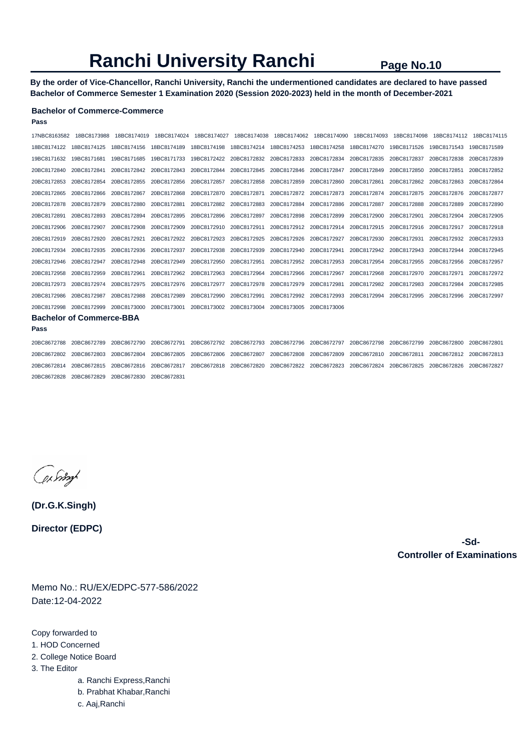**By the order of Vice-Chancellor, Ranchi University, Ranchi the undermentioned candidates are declared to have passed Bachelor of Commerce Semester 1 Examination 2020 (Session 2020-2023) held in the month of December-2021** 

## **Bachelor of Commerce-Commerce**

| 17NBC8163582                    | 18BC8173988 | 18BC8174019 | 18BC8174024 | 18BC8174027             | 18BC8174038                         |             | 18BC8174062 18BC8174090 | 18BC8174093 | 18BC8174098 | 18BC8174112 | 18BC8174115 |
|---------------------------------|-------------|-------------|-------------|-------------------------|-------------------------------------|-------------|-------------------------|-------------|-------------|-------------|-------------|
| 18BC8174122                     | 18BC8174125 | 18BC8174156 | 18BC8174189 | 18BC8174198             | 18BC8174214                         | 18BC8174253 | 18BC8174258             | 18BC8174270 | 19BC8171526 | 19BC8171543 | 19BC8171589 |
| 19BC8171632                     | 19BC8171681 | 19BC8171685 | 19BC8171733 |                         | 19BC8172422 20BC8172832 20BC8172833 |             | 20BC8172834             | 20BC8172835 | 20BC8172837 | 20BC8172838 | 20BC8172839 |
| 20BC8172840                     | 20BC8172841 | 20BC8172842 | 20BC8172843 | 20BC8172844             | 20BC8172845                         | 20BC8172846 | 20BC8172847             | 20BC8172849 | 20BC8172850 | 20BC8172851 | 20BC8172852 |
| 20BC8172853                     | 20BC8172854 | 20BC8172855 | 20BC8172856 | 20BC8172857             | 20BC8172858                         | 20BC8172859 | 20BC8172860             | 20BC8172861 | 20BC8172862 | 20BC8172863 | 20BC8172864 |
| 20BC8172865                     | 20BC8172866 | 20BC8172867 | 20BC8172868 | 20BC8172870             | 20BC8172871                         | 20BC8172872 | 20BC8172873             | 20BC8172874 | 20BC8172875 | 20BC8172876 | 20BC8172877 |
| 20BC8172878                     | 20BC8172879 | 20BC8172880 | 20BC8172881 | 20BC8172882             | 20BC8172883                         | 20BC8172884 | 20BC8172886             | 20BC8172887 | 20BC8172888 | 20BC8172889 | 20BC8172890 |
| 20BC8172891                     | 20BC8172893 | 20BC8172894 | 20BC8172895 | 20BC8172896             | 20BC8172897                         | 20BC8172898 | 20BC8172899             | 20BC8172900 | 20BC8172901 | 20BC8172904 | 20BC8172905 |
| 20BC8172906                     | 20BC8172907 | 20BC8172908 | 20BC8172909 | 20BC8172910             | 20BC8172911                         | 20BC8172912 | 20BC8172914             | 20BC8172915 | 20BC8172916 | 20BC8172917 | 20BC8172918 |
| 20BC8172919                     | 20BC8172920 | 20BC8172921 | 20BC8172922 | 20BC8172923             | 20BC8172925                         | 20BC8172926 | 20BC8172927             | 20BC8172930 | 20BC8172931 | 20BC8172932 | 20BC8172933 |
| 20BC8172934                     | 20BC8172935 | 20BC8172936 | 20BC8172937 | 20BC8172938             | 20BC8172939                         | 20BC8172940 | 20BC8172941             | 20BC8172942 | 20BC8172943 | 20BC8172944 | 20BC8172945 |
| 20BC8172946                     | 20BC8172947 | 20BC8172948 | 20BC8172949 | 20BC8172950             | 20BC8172951                         | 20BC8172952 | 20BC8172953             | 20BC8172954 | 20BC8172955 | 20BC8172956 | 20BC8172957 |
| 20BC8172958                     | 20BC8172959 | 20BC8172961 | 20BC8172962 | 20BC8172963             | 20BC8172964                         | 20BC8172966 | 20BC8172967             | 20BC8172968 | 20BC8172970 | 20BC8172971 | 20BC8172972 |
| 20BC8172973                     | 20BC8172974 | 20BC8172975 | 20BC8172976 | 20BC8172977             | 20BC8172978                         | 20BC8172979 | 20BC8172981             | 20BC8172982 | 20BC8172983 | 20BC8172984 | 20BC8172985 |
| 20BC8172986                     | 20BC8172987 | 20BC8172988 | 20BC8172989 | 20BC8172990             | 20BC8172991                         | 20BC8172992 | 20BC8172993             | 20BC8172994 | 20BC8172995 | 20BC8172996 | 20BC8172997 |
| 20BC8172998                     | 20BC8172999 | 20BC8173000 | 20BC8173001 | 20BC8173002 20BC8173004 |                                     | 20BC8173005 | 20BC8173006             |             |             |             |             |
| <b>Bachelor of Commerce-BBA</b> |             |             |             |                         |                                     |             |                         |             |             |             |             |
| Pass                            |             |             |             |                         |                                     |             |                         |             |             |             |             |
| 20BC8672788                     | 20BC8672789 | 20BC8672790 | 20BC8672791 | 20BC8672792             | 20BC8672793                         | 20BC8672796 | 20BC8672797             | 20BC8672798 | 20BC8672799 | 20BC8672800 | 20BC8672801 |
| 20BC8672802                     | 20BC8672803 | 20BC8672804 | 20BC8672805 | 20BC8672806             | 20BC8672807                         | 20BC8672808 | 20BC8672809             | 20BC8672810 | 20BC8672811 | 20BC8672812 | 20BC8672813 |
| 20BC8672814                     | 20BC8672815 | 20BC8672816 | 20BC8672817 | 20BC8672818             | 20BC8672820                         | 20BC8672822 | 20BC8672823             | 20BC8672824 | 20BC8672825 | 20BC8672826 | 20BC8672827 |

20BC8672828 20BC8672829 20BC8672830 20BC8672831

Cer Sing

**(Dr.G.K.Singh) Director (EDPC)**

> **-Sd-Controller of Examinations**

Memo No.: RU/EX/EDPC-577-586/2022 Date:12-04-2022

Copy forwarded to

- 1. HOD Concerned
- 2. College Notice Board
- 3. The Editor
	- a. Ranchi Express,Ranchi
	- b. Prabhat Khabar,Ranchi
	- c. Aaj,Ranchi